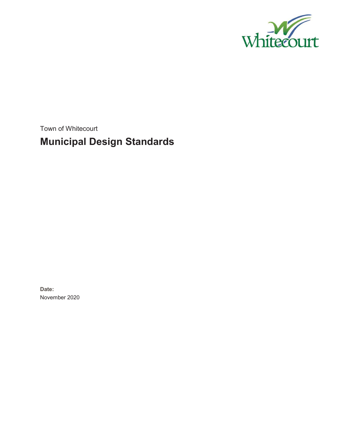

Town of Whitecourt

# **Municipal Design Standards**

**Date:**  November 2020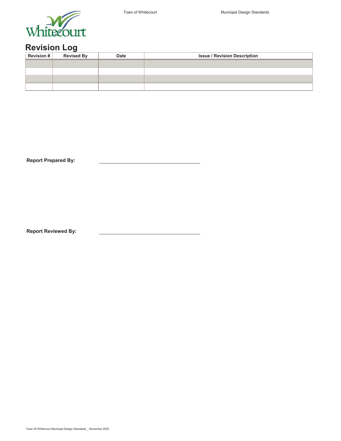



## **Revision Log**

| Revision # | <b>Revised By</b> | <b>Date</b> | <b>Issue / Revision Description</b> |  |
|------------|-------------------|-------------|-------------------------------------|--|
|            |                   |             |                                     |  |
|            |                   |             |                                     |  |
|            |                   |             |                                     |  |
|            |                   |             |                                     |  |

**Report Prepared By:**

**Report Reviewed By:**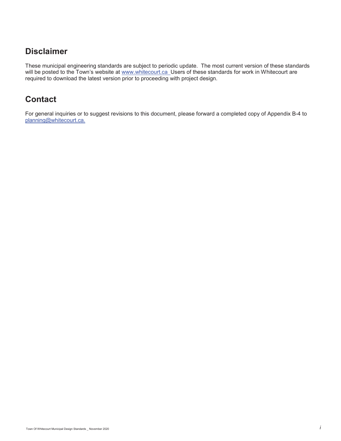### **Disclaimer**

These municipal engineering standards are subject to periodic update. The most current version of these standards will be posted to the Town's website at www.whitecourt.ca\_Users of these standards for work in Whitecourt are required to download the latest version prior to proceeding with project design.

## **Contact**

For general inquiries or to suggest revisions to this document, please forward a completed copy of Appendix B-4 to planning@whitecourt.ca.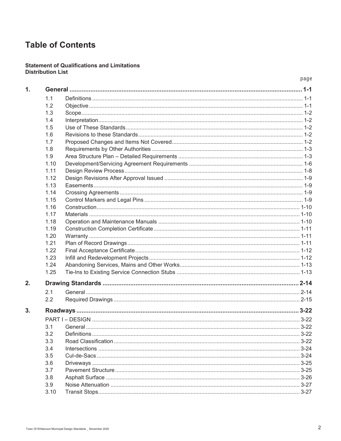# **Table of Contents**

#### **Statement of Qualifications and Limitations Distribution List**

|      | page   |
|------|--------|
|      |        |
| 1.1  |        |
| 1.2  |        |
| 1.3  |        |
| 1.4  |        |
| 1.5  |        |
| 1.6  |        |
| 1.7  |        |
| 1.8  |        |
| 1.9  |        |
| 1.10 |        |
| 1.11 |        |
| 1.12 |        |
| 1.13 |        |
| 1.14 |        |
| 1.15 |        |
| 1.16 |        |
| 1.17 |        |
| 1.18 |        |
| 1.19 |        |
| 1.20 |        |
| 1.21 |        |
| 1.22 |        |
| 1.23 |        |
| 1.24 |        |
| 1.25 |        |
|      |        |
| 2.1  |        |
| 2.2  |        |
|      |        |
|      |        |
| 3.1  | $3-22$ |
| 3.2  |        |
| 3.3  |        |
| 3.4  |        |
| 3.5  |        |
| 3.6  |        |
| 3.7  |        |
| 3.8  |        |
| 3.9  |        |
| 3.10 |        |
|      |        |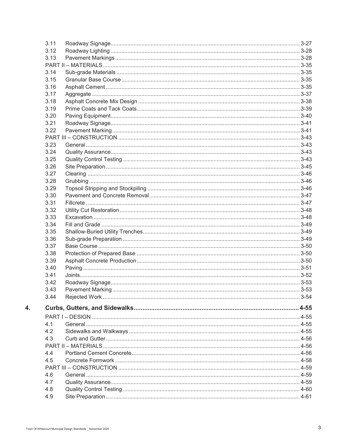| 3.11 |                  |          |
|------|------------------|----------|
| 3.12 |                  |          |
| 3.13 |                  |          |
|      |                  |          |
| 3.14 |                  |          |
| 3.15 |                  |          |
| 3.16 |                  |          |
| 3.17 |                  |          |
| 3.18 |                  |          |
| 3.19 |                  |          |
| 3.20 |                  |          |
| 3.21 |                  |          |
| 3.22 |                  |          |
|      |                  |          |
| 3.23 |                  |          |
| 3.24 |                  |          |
| 3.25 |                  |          |
| 3.26 |                  |          |
| 3.27 |                  |          |
| 3.28 |                  |          |
| 3.29 |                  |          |
| 3.30 |                  |          |
| 3.31 |                  |          |
| 3.32 |                  |          |
| 3.33 |                  |          |
| 3.34 |                  |          |
| 3.35 |                  |          |
| 3.36 |                  |          |
| 3.37 |                  |          |
| 3.38 |                  |          |
| 3.39 |                  |          |
| 3.40 |                  |          |
| 3.41 |                  |          |
| 3.42 |                  |          |
| 3.43 | Pavement Marking | $3 - 53$ |
| 3.44 |                  |          |
|      |                  |          |
|      |                  |          |
|      |                  |          |
| 4.1  |                  |          |
| 4.2  |                  |          |
| 4.3  |                  |          |
|      |                  |          |
| 4.4  |                  |          |
| 4.5  |                  |          |
|      |                  |          |
| 4.6  |                  |          |
| 4.7  |                  |          |
| 4.8  |                  |          |
| 4.9  |                  |          |

 $\overline{4}$ .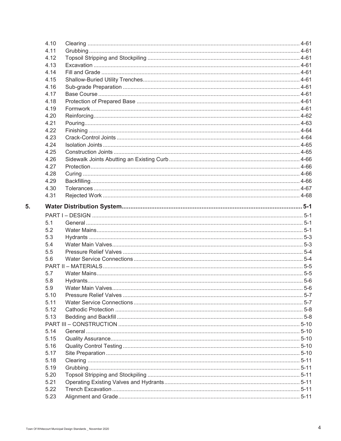|    | 4.10 |  |
|----|------|--|
|    | 4.11 |  |
|    | 4.12 |  |
|    | 4.13 |  |
|    | 4.14 |  |
|    | 4.15 |  |
|    | 4.16 |  |
|    | 4.17 |  |
|    | 4.18 |  |
|    | 4.19 |  |
|    | 4.20 |  |
|    | 4.21 |  |
|    | 4.22 |  |
|    | 4.23 |  |
|    | 4.24 |  |
|    | 4.25 |  |
|    | 4.26 |  |
|    | 4.27 |  |
|    | 4.28 |  |
|    | 4.29 |  |
|    | 4.30 |  |
|    | 4.31 |  |
| 5. |      |  |
|    |      |  |
|    | 5.1  |  |
|    | 5.2  |  |
|    | 5.3  |  |
|    | 5.4  |  |
|    | 5.5  |  |
|    | 5.6  |  |
|    |      |  |
|    | 5.7  |  |
|    | 5.8  |  |
|    | 5.9  |  |
|    | 5.10 |  |
|    | 5.11 |  |
|    | 5.12 |  |
|    | 5.13 |  |
|    |      |  |
|    | 5.14 |  |
|    | 5.15 |  |
|    | 5.16 |  |
|    | 5.17 |  |
|    | 5.18 |  |
|    | 5.19 |  |
|    | 5.20 |  |
|    | 5.21 |  |
|    | 5.22 |  |
|    | 5.23 |  |
|    |      |  |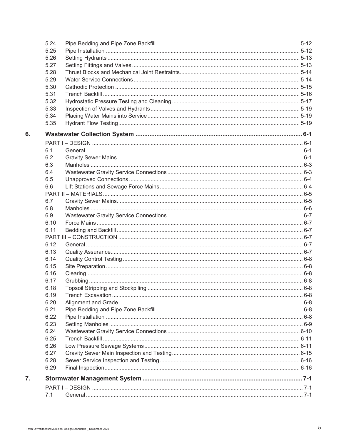|    | 5.24 |  |
|----|------|--|
|    | 5.25 |  |
|    | 5.26 |  |
|    | 5.27 |  |
|    | 5.28 |  |
|    | 5.29 |  |
|    | 5.30 |  |
|    | 5.31 |  |
|    | 5.32 |  |
|    | 5.33 |  |
|    | 5.34 |  |
|    | 5.35 |  |
| 6. |      |  |
|    |      |  |
|    | 6.1  |  |
|    | 6.2  |  |
|    | 6.3  |  |
|    | 6.4  |  |
|    | 6.5  |  |
|    | 6.6  |  |
|    |      |  |
|    | 6.7  |  |
|    | 6.8  |  |
|    | 6.9  |  |
|    | 6.10 |  |
|    | 6.11 |  |
|    |      |  |
|    | 6.12 |  |
|    | 6.13 |  |
|    | 6.14 |  |
|    | 6.15 |  |
|    | 6.16 |  |
|    | 6.17 |  |
|    | 6.18 |  |
|    | 6.19 |  |
|    | 6.20 |  |
|    | 6.21 |  |
|    | 6.22 |  |
|    | 6.23 |  |
|    | 6.24 |  |
|    | 6.25 |  |
|    | 6.26 |  |
|    | 6.27 |  |
|    | 6.28 |  |
|    | 6.29 |  |
| 7. |      |  |
|    |      |  |
|    | 7.1  |  |
|    |      |  |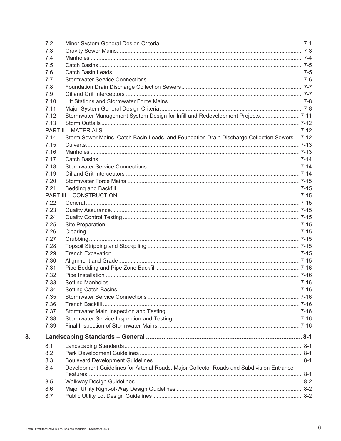| 7.2  |                                                                                             |  |
|------|---------------------------------------------------------------------------------------------|--|
| 7.3  |                                                                                             |  |
| 7.4  |                                                                                             |  |
| 7.5  |                                                                                             |  |
| 7.6  |                                                                                             |  |
| 7.7  |                                                                                             |  |
| 7.8  |                                                                                             |  |
| 7.9  |                                                                                             |  |
| 7.10 |                                                                                             |  |
| 7.11 |                                                                                             |  |
| 7.12 | Stormwater Management System Design for Infill and Redevelopment Projects 7-11              |  |
| 7.13 |                                                                                             |  |
|      |                                                                                             |  |
| 7.14 | Storm Sewer Mains, Catch Basin Leads, and Foundation Drain Discharge Collection Sewers 7-12 |  |
| 7.15 |                                                                                             |  |
| 7.16 |                                                                                             |  |
| 7.17 |                                                                                             |  |
| 7.18 |                                                                                             |  |
| 7.19 |                                                                                             |  |
| 7.20 |                                                                                             |  |
| 7.21 |                                                                                             |  |
|      |                                                                                             |  |
| 7.22 |                                                                                             |  |
| 7.23 |                                                                                             |  |
|      |                                                                                             |  |
| 7.24 |                                                                                             |  |
| 7.25 |                                                                                             |  |
| 7.26 |                                                                                             |  |
| 7.27 |                                                                                             |  |
| 7.28 |                                                                                             |  |
| 7.29 |                                                                                             |  |
| 7.30 |                                                                                             |  |
| 7.31 |                                                                                             |  |
| 7.32 |                                                                                             |  |
| 7.33 |                                                                                             |  |
| 7.34 |                                                                                             |  |
| 7.35 |                                                                                             |  |
| 7.36 |                                                                                             |  |
| 7.37 |                                                                                             |  |
| 7.38 |                                                                                             |  |
| 7.39 |                                                                                             |  |
|      |                                                                                             |  |
| 8.1  |                                                                                             |  |
| 8.2  |                                                                                             |  |
| 8.3  |                                                                                             |  |
| 8.4  | Development Guidelines for Arterial Roads, Major Collector Roads and Subdivision Entrance   |  |
|      |                                                                                             |  |
| 8.5  |                                                                                             |  |
| 8.6  |                                                                                             |  |
| 8.7  |                                                                                             |  |
|      |                                                                                             |  |

8.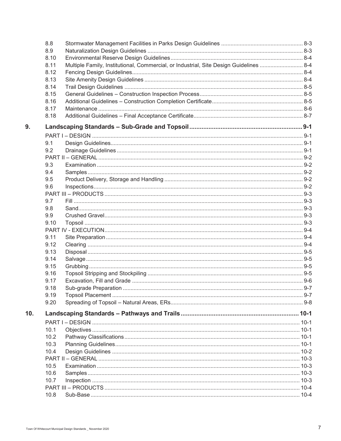|     | 8.8                                                                                            |  |
|-----|------------------------------------------------------------------------------------------------|--|
|     | 8.9                                                                                            |  |
|     | 8.10                                                                                           |  |
|     | Multiple Family, Institutional, Commercial, or Industrial, Site Design Guidelines  8-4<br>8.11 |  |
|     | 8.12                                                                                           |  |
|     | 8.13                                                                                           |  |
|     | 8.14                                                                                           |  |
|     | 8.15                                                                                           |  |
|     | 8.16                                                                                           |  |
|     | 8.17                                                                                           |  |
|     | 8.18                                                                                           |  |
| 9.  |                                                                                                |  |
|     |                                                                                                |  |
|     | 9.1                                                                                            |  |
|     | 9.2                                                                                            |  |
|     |                                                                                                |  |
|     | 9.3                                                                                            |  |
|     | 9.4                                                                                            |  |
|     | 9.5                                                                                            |  |
|     | 9.6                                                                                            |  |
|     |                                                                                                |  |
|     | 9.7                                                                                            |  |
|     | 9.8                                                                                            |  |
|     | 9.9                                                                                            |  |
|     | 9.10                                                                                           |  |
|     |                                                                                                |  |
|     | 9.11                                                                                           |  |
|     | 9.12                                                                                           |  |
|     | 9.13                                                                                           |  |
|     | 9.14                                                                                           |  |
|     | 9.15                                                                                           |  |
|     | 9.16                                                                                           |  |
|     | 9.17                                                                                           |  |
|     | 9.18                                                                                           |  |
|     | 9.19                                                                                           |  |
|     | 9.20                                                                                           |  |
| 10. |                                                                                                |  |
|     |                                                                                                |  |
|     | 10.1                                                                                           |  |
|     | 10.2                                                                                           |  |
|     | 10.3                                                                                           |  |
|     | 10.4                                                                                           |  |
|     |                                                                                                |  |
|     | 10.5                                                                                           |  |
|     | 10.6                                                                                           |  |
|     | 10.7                                                                                           |  |
|     |                                                                                                |  |
|     | 10.8                                                                                           |  |
|     |                                                                                                |  |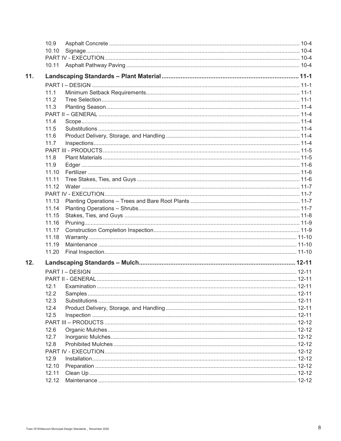|     | 10.9           |  |  |  |
|-----|----------------|--|--|--|
|     | 10.10          |  |  |  |
|     |                |  |  |  |
|     |                |  |  |  |
| 11. |                |  |  |  |
|     |                |  |  |  |
|     | 11.1           |  |  |  |
|     | 11.2           |  |  |  |
|     | 11.3           |  |  |  |
|     |                |  |  |  |
|     | 11.4           |  |  |  |
|     | 11.5           |  |  |  |
|     | 11.6           |  |  |  |
|     | 11.7           |  |  |  |
|     |                |  |  |  |
|     | 11.8           |  |  |  |
|     | 11.9           |  |  |  |
|     | 11.10          |  |  |  |
|     | 11.11          |  |  |  |
|     | 11.12          |  |  |  |
|     |                |  |  |  |
|     | 11.13          |  |  |  |
|     | 11.14          |  |  |  |
|     | 11.15          |  |  |  |
|     | 11.16          |  |  |  |
|     | 11.17          |  |  |  |
|     | 11.18          |  |  |  |
|     | 11.19          |  |  |  |
|     | 11.20          |  |  |  |
| 12. |                |  |  |  |
|     |                |  |  |  |
|     |                |  |  |  |
|     | 12.1           |  |  |  |
|     | 12.2           |  |  |  |
|     | 12.3           |  |  |  |
|     | 12.4           |  |  |  |
|     | 12.5           |  |  |  |
|     |                |  |  |  |
|     | 12.6           |  |  |  |
|     | 12.7           |  |  |  |
|     | 12.8           |  |  |  |
|     |                |  |  |  |
|     | 12.9           |  |  |  |
|     | 12.10<br>12.11 |  |  |  |
|     | 12.12          |  |  |  |
|     |                |  |  |  |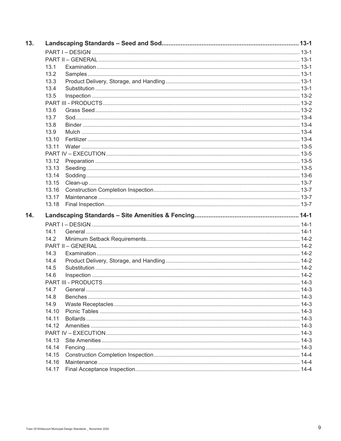| 13. |       |  |
|-----|-------|--|
|     |       |  |
|     |       |  |
|     | 13.1  |  |
|     | 13.2  |  |
|     | 13.3  |  |
|     | 13.4  |  |
|     | 13.5  |  |
|     |       |  |
|     | 13.6  |  |
|     | 13.7  |  |
|     | 13.8  |  |
|     | 13.9  |  |
|     | 13.10 |  |
|     | 13.11 |  |
|     |       |  |
|     | 13.12 |  |
|     | 13.13 |  |
|     | 13.14 |  |
|     | 13.15 |  |
|     | 13.16 |  |
|     | 13.17 |  |
|     | 13.18 |  |
| 14. |       |  |
|     |       |  |
|     |       |  |
|     | 14.1  |  |
|     | 14.2  |  |
|     |       |  |
|     | 14.3  |  |
|     | 14.4  |  |
|     | 14.5  |  |
|     | 14.6  |  |
|     |       |  |
|     |       |  |
|     | 14.8  |  |
|     | 14.9  |  |
|     | 14.10 |  |
|     | 14.11 |  |
|     | 14.12 |  |
|     |       |  |
|     | 14.13 |  |
|     | 14.14 |  |
|     | 14.15 |  |
|     | 14.16 |  |
|     | 14.17 |  |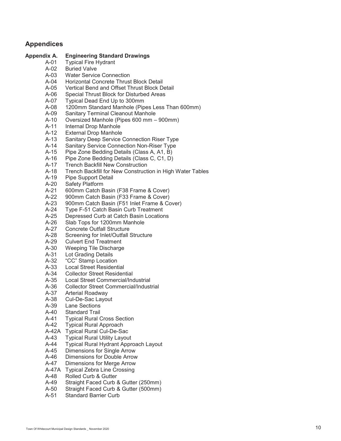### **Appendices**

### **Appendix A. Engineering Standard Drawings**

- A-01 Typical Fire Hydrant
- A-02 Buried Valve
- A-03 Water Service Connection
- A-04 Horizontal Concrete Thrust Block Detail
- A-05 Vertical Bend and Offset Thrust Block Detail
- A-06 Special Thrust Block for Disturbed Areas
- A-07 Typical Dead End Up to 300mm
- A-08 1200mm Standard Manhole (Pipes Less Than 600mm)
- A-09 Sanitary Terminal Cleanout Manhole
- A-10 Oversized Manhole (Pipes 600 mm 900mm)
- A-11 Internal Drop Manhole
- A-12 External Drop Manhole
- A-13 Sanitary Deep Service Connection Riser Type
- A-14 Sanitary Service Connection Non-Riser Type
- A-15 Pipe Zone Bedding Details (Class A, A1, B)
- A-16 Pipe Zone Bedding Details (Class C, C1, D)
- A-17 Trench Backfill New Construction
- A-18 Trench Backfill for New Construction in High Water Tables
- A-19 Pipe Support Detail
- A-20 Safety Platform<br>A-21 600mm Catch B
- 600mm Catch Basin (F38 Frame & Cover)
- A-22 900mm Catch Basin (F33 Frame & Cover)
- A-23 900mm Catch Basin (F51 Inlet Frame & Cover)
- A-24 Type F-51 Catch Basin Curb Treatment
- A-25 Depressed Curb at Catch Basin Locations
- A-26 Slab Tops for 1200mm Manhole
- A-27 Concrete Outfall Structure
- A-28 Screening for Inlet/Outfall Structure
- A-29 Culvert End Treatment
- A-30 Weeping Tile Discharge
- A-31 Lot Grading Details
- A-32 "CC" Stamp Location
- A-33 Local Street Residential
- A-34 Collector Street Residential
- A-35 Local Street Commercial/Industrial
- A-36 Collector Street Commercial/Industrial
- A-37 Arterial Roadway
- A-38 Cul-De-Sac Layout
- A-39 Lane Sections
- A-40 Standard Trail
- A-41 Typical Rural Cross Section
- A-42 Typical Rural Approach
- A-42A Typical Rural Cul-De-Sac
- A-43 Typical Rural Utility Layout
- A-44 Typical Rural Hydrant Approach Layout
- A-45 Dimensions for Single Arrow
- A-46 Dimensions for Double Arrow
- A-47 Dimensions for Merge Arrow
- A-47A Typical Zebra Line Crossing
- A-48 Rolled Curb & Gutter
- A-49 Straight Faced Curb & Gutter (250mm)
- Straight Faced Curb & Gutter (500mm)
- A-51 Standard Barrier Curb